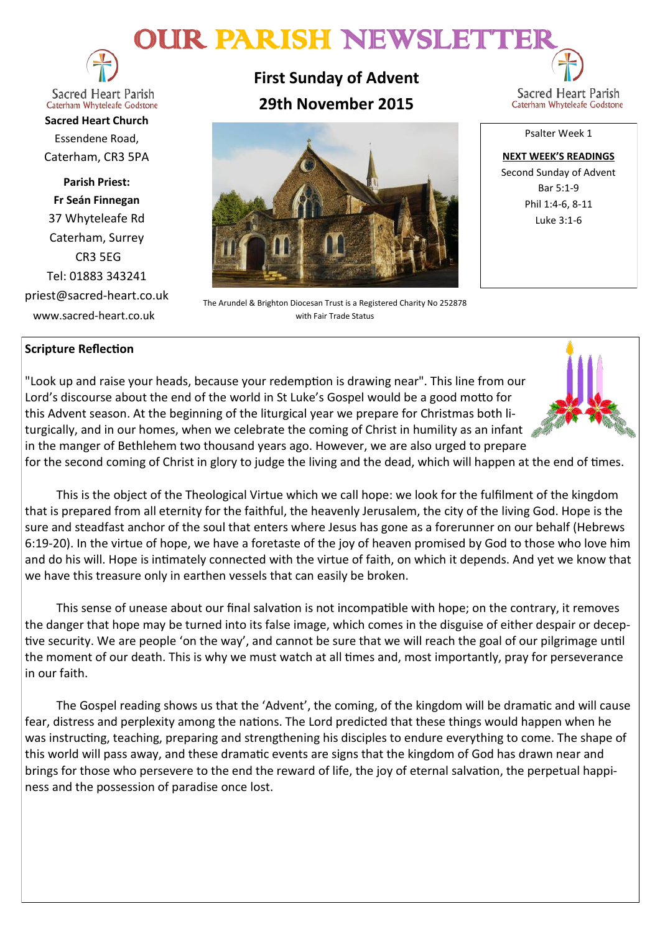# OUR PARISH NEWSLETTE



**Sacred Heart Parish** Caterham Whyteleafe Godstone

**Sacred Heart Church** Essendene Road, Caterham, CR3 5PA

**Parish Priest: Fr Seán Finnegan** 37 Whyteleafe Rd Caterham, Surrey CR3 5EG Tel: 01883 343241 priest@sacred-heart.co.uk www.sacred-heart.co.uk

**First Sunday of Advent 29th November 2015**



The Arundel & Brighton Diocesan Trust is a Registered Charity No 252878 with Fair Trade Status

Sacred Heart Parish Caterham Whyteleafe Godstone

Psalter Week 1

**NEXT WEEK'S READINGS** Second Sunday of Advent Bar 5:1-9 Phil 1:4-6, 8-11 Luke 3:1-6

## **Scripture Reflection**

"Look up and raise your heads, because your redemption is drawing near". This line from our Lord's discourse about the end of the world in St Luke's Gospel would be a good motto for this Advent season. At the beginning of the liturgical year we prepare for Christmas both liturgically, and in our homes, when we celebrate the coming of Christ in humility as an infant  $\mathcal{L}$ in the manger of Bethlehem two thousand years ago. However, we are also urged to prepare

for the second coming of Christ in glory to judge the living and the dead, which will happen at the end of times.

This is the object of the Theological Virtue which we call hope: we look for the fulfilment of the kingdom that is prepared from all eternity for the faithful, the heavenly Jerusalem, the city of the living God. Hope is the sure and steadfast anchor of the soul that enters where Jesus has gone as a forerunner on our behalf (Hebrews 6:19-20). In the virtue of hope, we have a foretaste of the joy of heaven promised by God to those who love him and do his will. Hope is intimately connected with the virtue of faith, on which it depends. And yet we know that we have this treasure only in earthen vessels that can easily be broken.

This sense of unease about our final salvation is not incompatible with hope; on the contrary, it removes the danger that hope may be turned into its false image, which comes in the disguise of either despair or deceptive security. We are people 'on the way', and cannot be sure that we will reach the goal of our pilgrimage until the moment of our death. This is why we must watch at all times and, most importantly, pray for perseverance in our faith.

The Gospel reading shows us that the 'Advent', the coming, of the kingdom will be dramatic and will cause fear, distress and perplexity among the nations. The Lord predicted that these things would happen when he was instructing, teaching, preparing and strengthening his disciples to endure everything to come. The shape of this world will pass away, and these dramatic events are signs that the kingdom of God has drawn near and brings for those who persevere to the end the reward of life, the joy of eternal salvation, the perpetual happiness and the possession of paradise once lost.

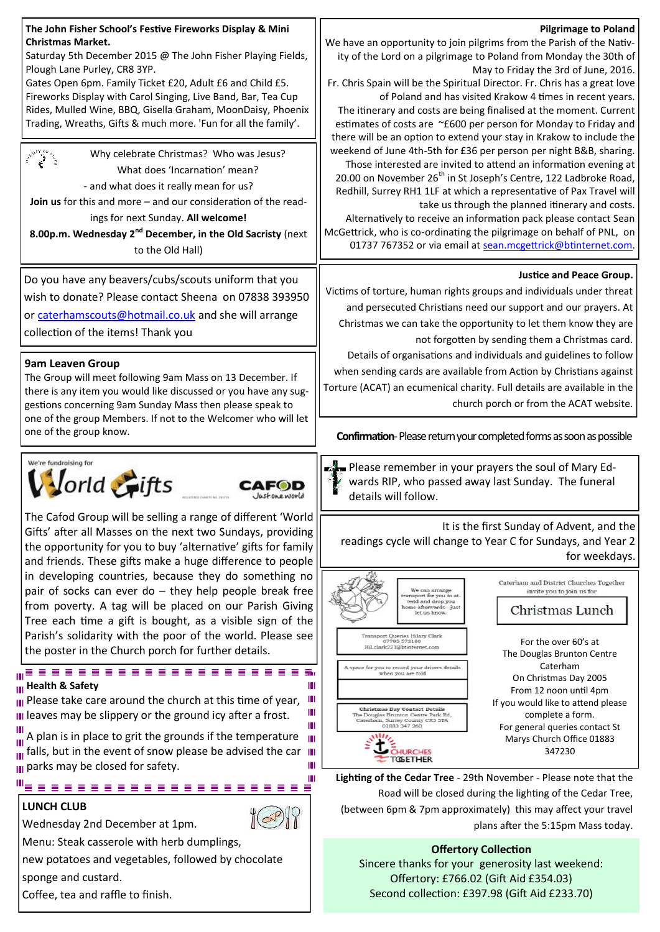| The John Fisher School's Festive Fireworks Display & Mini<br>Christmas Market.<br>Saturday 5th December 2015 @ The John Fisher Playing Fields,<br>Plough Lane Purley, CR8 3YP.<br>Gates Open 6pm. Family Ticket £20, Adult £6 and Child £5.<br>Fireworks Display with Carol Singing, Live Band, Bar, Tea Cup<br>Rides, Mulled Wine, BBQ, Gisella Graham, MoonDaisy, Phoenix<br>Trading, Wreaths, Gifts & much more. 'Fun for all the family'.<br>Why celebrate Christmas? Who was Jesus?<br>What does 'Incarnation' mean?<br>- and what does it really mean for us?<br><b>Join us</b> for this and more $-$ and our consideration of the read-<br>ings for next Sunday. All welcome!<br>8.00p.m. Wednesday 2 <sup>nd</sup> December, in the Old Sacristy (next<br>to the Old Hall) | <b>Pilgrimage to Poland</b><br>We have an opportunity to join pilgrims from the Parish of the Nativ-<br>ity of the Lord on a pilgrimage to Poland from Monday the 30th of<br>May to Friday the 3rd of June, 2016.<br>Fr. Chris Spain will be the Spiritual Director. Fr. Chris has a great love<br>of Poland and has visited Krakow 4 times in recent years.<br>The itinerary and costs are being finalised at the moment. Current<br>estimates of costs are ~£600 per person for Monday to Friday and<br>there will be an option to extend your stay in Krakow to include the<br>weekend of June 4th-5th for £36 per person per night B&B, sharing.<br>Those interested are invited to attend an information evening at<br>20.00 on November 26 <sup>th</sup> in St Joseph's Centre, 122 Ladbroke Road,<br>Redhill, Surrey RH1 1LF at which a representative of Pax Travel will<br>take us through the planned itinerary and costs.<br>Alternatively to receive an information pack please contact Sean<br>McGettrick, who is co-ordinating the pilgrimage on behalf of PNL, on<br>01737 767352 or via email at sean.mcgettrick@btinternet.com. |  |
|------------------------------------------------------------------------------------------------------------------------------------------------------------------------------------------------------------------------------------------------------------------------------------------------------------------------------------------------------------------------------------------------------------------------------------------------------------------------------------------------------------------------------------------------------------------------------------------------------------------------------------------------------------------------------------------------------------------------------------------------------------------------------------|--------------------------------------------------------------------------------------------------------------------------------------------------------------------------------------------------------------------------------------------------------------------------------------------------------------------------------------------------------------------------------------------------------------------------------------------------------------------------------------------------------------------------------------------------------------------------------------------------------------------------------------------------------------------------------------------------------------------------------------------------------------------------------------------------------------------------------------------------------------------------------------------------------------------------------------------------------------------------------------------------------------------------------------------------------------------------------------------------------------------------------------------------|--|
| Do you have any beavers/cubs/scouts uniform that you<br>wish to donate? Please contact Sheena on 07838 393950<br>or caterhamscouts@hotmail.co.uk and she will arrange<br>collection of the items! Thank you                                                                                                                                                                                                                                                                                                                                                                                                                                                                                                                                                                        | <b>Justice and Peace Group.</b><br>Victims of torture, human rights groups and individuals under threat<br>and persecuted Christians need our support and our prayers. At<br>Christmas we can take the opportunity to let them know they are<br>not forgotten by sending them a Christmas card.                                                                                                                                                                                                                                                                                                                                                                                                                                                                                                                                                                                                                                                                                                                                                                                                                                                  |  |
| <b>9am Leaven Group</b><br>The Group will meet following 9am Mass on 13 December. If<br>there is any item you would like discussed or you have any sug-<br>gestions concerning 9am Sunday Mass then please speak to<br>one of the group Members. If not to the Welcomer who will let<br>one of the group know.                                                                                                                                                                                                                                                                                                                                                                                                                                                                     | Details of organisations and individuals and guidelines to follow<br>when sending cards are available from Action by Christians against<br>Torture (ACAT) an ecumenical charity. Full details are available in the<br>church porch or from the ACAT website.<br><b>Confirmation-Please return your completed forms as soon as possible</b>                                                                                                                                                                                                                                                                                                                                                                                                                                                                                                                                                                                                                                                                                                                                                                                                       |  |
| We're fundraising for<br>orld <i>Fifts</i>                                                                                                                                                                                                                                                                                                                                                                                                                                                                                                                                                                                                                                                                                                                                         | Please remember in your prayers the soul of Mary Ed-<br>wards RIP, who passed away last Sunday. The funeral<br>details will follow.                                                                                                                                                                                                                                                                                                                                                                                                                                                                                                                                                                                                                                                                                                                                                                                                                                                                                                                                                                                                              |  |
| The Cafod Group will be selling a range of different 'World<br>Gifts' after all Masses on the next two Sundays, providing<br>the opportunity for you to buy 'alternative' gifts for family<br>and friends. These gifts make a huge difference to people                                                                                                                                                                                                                                                                                                                                                                                                                                                                                                                            | It is the first Sunday of Advent, and the<br>readings cycle will change to Year C for Sundays, and Year 2<br>for weekdays.                                                                                                                                                                                                                                                                                                                                                                                                                                                                                                                                                                                                                                                                                                                                                                                                                                                                                                                                                                                                                       |  |
| in developing countries, because they do something no<br>pair of socks can ever do - they help people break free<br>from poverty. A tag will be placed on our Parish Giving<br>Tree each time a gift is bought, as a visible sign of the<br>Parish's solidarity with the poor of the world. Please see<br>the poster in the Church porch for further details.                                                                                                                                                                                                                                                                                                                                                                                                                      | Caterham and District Churches Together<br>We can arrang<br>invite you to join us for<br>transport for you to at-<br>tend and drop you<br>home afterwards-just<br>Christmas Lunch<br>let us know.<br>ransport Queries Hilary Clark<br>07795 573180<br>For the over 60's at<br>Hil.clark221@btinternet.com<br>The Douglas Brunton Centre                                                                                                                                                                                                                                                                                                                                                                                                                                                                                                                                                                                                                                                                                                                                                                                                          |  |
| $m \equiv \equiv$<br><b>III</b> Health & Safety<br>Ш<br>III Please take care around the church at this time of year,<br>Ш<br>III leaves may be slippery or the ground icy after a frost.<br>Ш<br>$\frac{1}{\ I\ }$ A plan is in place to grit the grounds if the temperature<br>Ш                                                                                                                                                                                                                                                                                                                                                                                                                                                                                                  | Caterham<br>space for you to record your drivers details<br>when you are told<br>On Christmas Day 2005<br>From 12 noon until 4pm<br>If you would like to attend please<br>Christmas Day Contact Details<br>complete a form.<br>The Douglas Brunton Centre Park Rd,<br>Caterham, Surrey County CR3 5TA<br>01883 347 260<br>For general queries contact St<br>Marys Church Office 01883                                                                                                                                                                                                                                                                                                                                                                                                                                                                                                                                                                                                                                                                                                                                                            |  |
| $\frac{1}{\ln 2}$ falls, but in the event of snow please be advised the car $\ln 2$<br>Ш<br>$\parallel$ parks may be closed for safety.<br>Ш<br>$\mathbf{m}_{\equiv}$<br>≡<br><b>LUNCH CLUB</b>                                                                                                                                                                                                                                                                                                                                                                                                                                                                                                                                                                                    | 347230<br><b>CHURCHES</b><br>tosether<br>Lighting of the Cedar Tree - 29th November - Please note that the<br>Road will be closed during the lighting of the Cedar Tree,<br>(between 6pm & 7pm approximately) this may affect your travel                                                                                                                                                                                                                                                                                                                                                                                                                                                                                                                                                                                                                                                                                                                                                                                                                                                                                                        |  |
| Wednesday 2nd December at 1pm.                                                                                                                                                                                                                                                                                                                                                                                                                                                                                                                                                                                                                                                                                                                                                     | plans after the 5:15pm Mass today.                                                                                                                                                                                                                                                                                                                                                                                                                                                                                                                                                                                                                                                                                                                                                                                                                                                                                                                                                                                                                                                                                                               |  |
| Menu: Steak casserole with herb dumplings,<br>new potatoes and vegetables, followed by chocolate<br>sponge and custard.<br>Coffee, tea and raffle to finish.                                                                                                                                                                                                                                                                                                                                                                                                                                                                                                                                                                                                                       | <b>Offertory Collection</b><br>Sincere thanks for your generosity last weekend:<br>Offertory: £766.02 (Gift Aid £354.03)<br>Second collection: £397.98 (Gift Aid £233.70)                                                                                                                                                                                                                                                                                                                                                                                                                                                                                                                                                                                                                                                                                                                                                                                                                                                                                                                                                                        |  |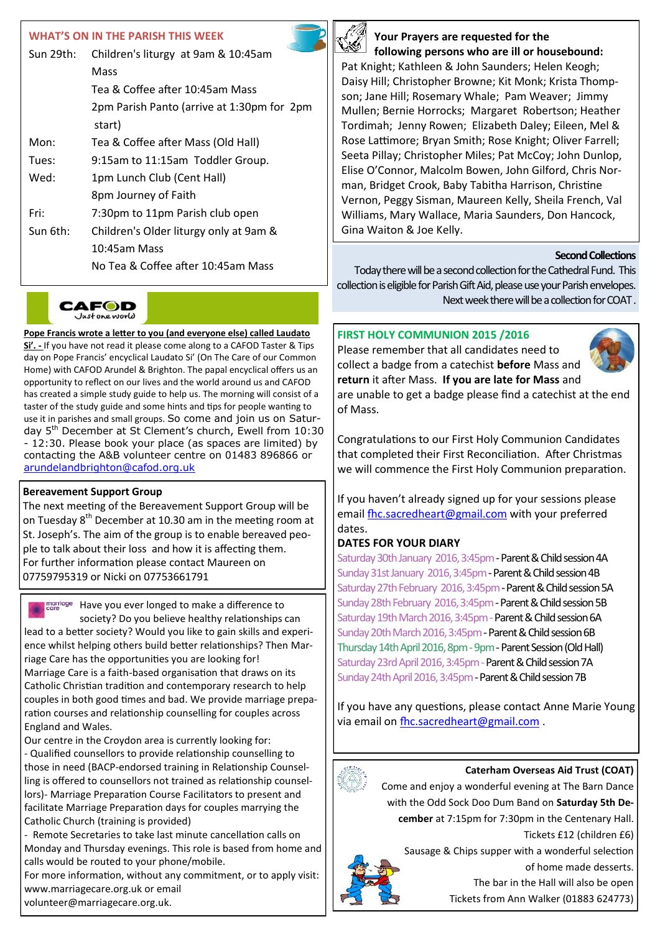#### **WHAT'S ON IN THE PARISH THIS WEEK**

| Sun 29th: | Children's liturgy at 9am & 10:45am                  |
|-----------|------------------------------------------------------|
|           | Mass                                                 |
|           | Tea & Coffee after 10:45am Mass                      |
|           | 2pm Parish Panto (arrive at 1:30pm for 2pm<br>start) |
| Mon:      | Tea & Coffee after Mass (Old Hall)                   |
| Tues:     | 9:15am to 11:15am Toddler Group.                     |
| Wed:      | 1pm Lunch Club (Cent Hall)                           |
|           | 8pm Journey of Faith                                 |
| Fri:      | 7:30pm to 11pm Parish club open                      |
| Sun 6th:  | Children's Older liturgy only at 9am &               |
|           | 10:45am Mass                                         |
|           | No Tea & Coffee after 10:45am Mass                   |

CAFOD Justoneworld

**Pope Francis wrote a letter to you (and everyone else) called Laudato Si'. -** If you have not read it please come along to a CAFOD Taster & Tips day on Pope Francis' encyclical Laudato Si' (On The Care of our Common Home) with CAFOD Arundel & Brighton. The papal encyclical offers us an opportunity to reflect on our lives and the world around us and CAFOD has created a simple study guide to help us. The morning will consist of a taster of the study guide and some hints and tips for people wanting to use it in parishes and small groups. So come and join us on Saturday 5th December at St Clement's church, Ewell from 10:30 - 12:30. Please book your place (as spaces are limited) by contacting the A&B volunteer centre on 01483 896866 or [arundelandbrighton@cafod.org.uk](mailto:arundelandbrighton@cafod.org.uk)

#### **Bereavement Support Group**

The next meeting of the Bereavement Support Group will be on Tuesday  $8<sup>th</sup>$  December at 10.30 am in the meeting room at St. Joseph's. The aim of the group is to enable bereaved people to talk about their loss and how it is affecting them. For further information please contact Maureen on 07759795319 or Nicki on 07753661791

marriage Have you ever longed to make a difference to society? Do you believe healthy relationships can lead to a better society? Would you like to gain skills and experience whilst helping others build better relationships? Then Marriage Care has the opportunities you are looking for! Marriage Care is a faith-based organisation that draws on its Catholic Christian tradition and contemporary research to help couples in both good times and bad. We provide marriage preparation courses and relationship counselling for couples across England and Wales.

Our centre in the Croydon area is currently looking for: - Qualified counsellors to provide relationship counselling to those in need (BACP-endorsed training in Relationship Counselling is offered to counsellors not trained as relationship counsellors)- Marriage Preparation Course Facilitators to present and facilitate Marriage Preparation days for couples marrying the Catholic Church (training is provided)

- Remote Secretaries to take last minute cancellation calls on Monday and Thursday evenings. This role is based from home and calls would be routed to your phone/mobile.

For more information, without any commitment, or to apply visit: www.marriagecare.org.uk or email

volunteer@marriagecare.org.uk.



#### **Your Prayers are requested for the following persons who are ill or housebound:**

Pat Knight; Kathleen & John Saunders; Helen Keogh; Daisy Hill; Christopher Browne; Kit Monk; Krista Thompson; Jane Hill; Rosemary Whale; Pam Weaver; Jimmy Mullen; Bernie Horrocks; Margaret Robertson; Heather Tordimah; Jenny Rowen; Elizabeth Daley; Eileen, Mel & Rose Lattimore; Bryan Smith; Rose Knight; Oliver Farrell; Seeta Pillay; Christopher Miles; Pat McCoy; John Dunlop, Elise O'Connor, Malcolm Bowen, John Gilford, Chris Norman, Bridget Crook, Baby Tabitha Harrison, Christine Vernon, Peggy Sisman, Maureen Kelly, Sheila French, Val Williams, Mary Wallace, Maria Saunders, Don Hancock, Gina Waiton & Joe Kelly.

#### **Second Collections**

Today there will be a second collection for the Cathedral Fund. This collection is eligible for Parish Gift Aid, please use your Parish envelopes. Next week there will be a collection for COAT .

### **FIRST HOLY COMMUNION 2015 /2016**

Please remember that all candidates need to collect a badge from a catechist **before** Mass and **return** it after Mass. **If you are late for Mass** and



are unable to get a badge please find a catechist at the end of Mass.

Congratulations to our First Holy Communion Candidates that completed their First Reconciliation. After Christmas we will commence the First Holy Communion preparation.

If you haven't already signed up for your sessions please email [fhc.sacredheart@gmail.com](mailto:fhc.sacredheart@gmail.com) with your preferred dates.

#### **DATES FOR YOUR DIARY**

Saturday 30th January 2016, 3:45pm - Parent & Child session 4A Sunday 31st January 2016, 3:45pm - Parent & Child session 4B Saturday 27th February 2016, 3:45pm - Parent & Child session 5A Sunday 28th February 2016, 3:45pm - Parent & Child session 5B Saturday 19th March 2016, 3:45pm - Parent & Child session 6A Sunday 20th March 2016, 3:45pm - Parent & Child session 6B Thursday 14th April 2016, 8pm - 9pm - Parent Session (Old Hall) Saturday 23rd April 2016, 3:45pm - Parent & Child session 7A Sunday 24th April 2016, 3:45pm - Parent & Child session 7B

If you have any questions, please contact Anne Marie Young via email on [fhc.sacredheart@gmail.com](mailto:fhc.sacredheart@gmail.com) .



#### **Caterham Overseas Aid Trust (COAT)**

Come and enjoy a wonderful evening at The Barn Dance with the Odd Sock Doo Dum Band on **Saturday 5th December** at 7:15pm for 7:30pm in the Centenary Hall.



Tickets £12 (children £6)

Sausage & Chips supper with a wonderful selection of home made desserts.

The bar in the Hall will also be open

Tickets from Ann Walker (01883 624773)